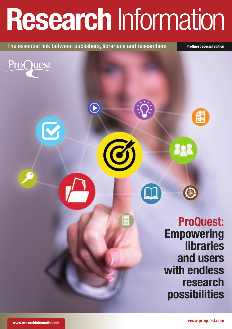# Research Information

The essential link between publishers, librarians and researchers ProQuest special edition

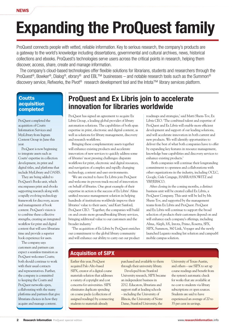# Expanding the ProQuest family

ProQuest connects people with vetted, reliable information. Key to serious research, the company's products are a gateway to the world's knowledge including dissertations, governmental and cultural archives, news, historical collections and ebooks. ProQuest's technologies serve users across the critical points in research, helping them discover, access, share, create and manage information.

The company's cloud-based technologies offer flexible solutions for librarians, students and researchers through the ProQuest<sup>®</sup>, Bowker<sup>®</sup>, Dialog<sup>®</sup>, ebrary<sup>®</sup> and EBL<sup>™</sup> businesses – and notable research tools such as the Summon<sup>®</sup> discovery service, Refworks, the Pivot® research development tool and the Intota™ library services platform.

### **Coutts** acquisition completed

ProQuest completed the acquisition of Coutts Information Services and MyiLibrary from Ingram Content Group in June this year.

ProQuest is now beginning to integrate assets such as Coutts' expertise in collection development, its print and digital titles, and platforms that include MyiLibrary and OASIS.

They are being added to ProQuest's Books unit, which encompasses print and ebooks supporting research along with a rapidly evolving technology framework for discovery, access and management of book content. ProQuest's vision is to combine these collective strengths, creating an integrated workflow for print and digital content that will save librarians time and provide a superior book experience for users.

The company says customers and partners can expect a seamless transition as ProQuest welcomes Coutts; both should continue to work with their usual contacts and representatives. Further, the company is committed to keeping the Coutts and ProQuest networks open, collaborating with the many platforms and partners that give librarians choices in how they acquire and manage content.

# ProQuest and Ex Libris join to accelerate innovation for libraries worldwide

ProQuest has signed an agreement to acquire Ex Libris Group, a leading global provider of library automation solutions. The capabilities of both span expertise in print, electronic and digital content, as well as solutions for library management, discovery and research workflows.

Bringing these complementary assets together will enhance existing products and accelerate innovation of new services to quickly address some of libraries' most pressing challenges: disparate workflows for print, electronic and digital resources, and navigation of complex and rapidly changing technology, content and user environments.

'We are excited to have Ex Libris join ProQuest and welcome its proven track-record of innovation on behalf of libraries. One great example of their expertise in action is the success of Ex Libris' Alma unified resource management solution in helping hundreds of institutions worldwide improve their libraries' value to their users,' said Kurt Sanford, ProQuest CEO. 'Together, the companies will build on and create more groundbreaking library services, bringing additional value to our customers and the broader industry.'

'The acquisition of Ex Libris by ProQuest enriches our commitment to the global library community and will enhance our ability to carry out our product

roadmaps and strategies,' said Matti Shem-Tov, Ex Libris CEO. 'The combined talent and expertise of ProQuest and Ex Libris will enable more efficient development and support of our leading solutions, and will accelerate innovation in both current and new products. We will identify opportunities to deliver the best of what both companies have to offer by expanding key features in resource management, knowledge base capabilities and discovery services to enhance existing products.'

 Both companies will continue their longstanding commitment to openness and collaborations with other organizations in the industry, including OCLC, Google, Gale Cengage, HARRASSOWITZ and YBP/EBSCO.

After closing in the coming months, a distinct business unit will be created called Ex Libris, a ProQuest Company. This unit will be led by Mr. Shem-Tov, and supported by the management teams from Ex Libris and ProQuest. ProQuest and Ex Libris will continue to support the broad selection of products their customers depend on and will enhance each company's offerings, including Alma, Aleph, bX, Intota, Primo, Rosetta, SFX, SIPX, Summon, 360 Link, Voyager and the newly launched Leganto reading list solution and campusM mobile campus solution.

## Acquisition of SIPX

Earlier this year, ProQuest acquired Palo Alto-based SIPX, creator of a digital course materials solution that addresses a variety of copyright and cost concerns for universities. SIPX eliminates duplicate spending on course packs (collections of assigned readings) by connecting students to materials already

purchased and available to them through their university library. Developed from Stanford University research, SIPX became an independent business in 2012. Educators, librarians and support staff at leading schools – including the University of Illinois, the University of Notre Dame, Stanford University, the

University of Texas-Austin, and others – use SIPX to set up course readings and benefit from the system's automatic check for works that are available at no cost to students via library subscriptions or open sources. Students are said to have experienced an average of 20 to 35 per cent in savings.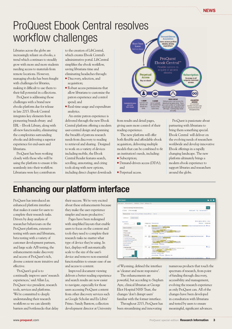# ProQuest Ebook Central resolves workflow challenges

Libraries across the globe are increasingly reliant on ebooks, a trend which continues to steadily grow with more and more students needing access to materials from remote locations. However, managing ebooks has been fraught with challenges for libraries, making it difficult to use them to their full potential in collections.

ProQuest is addressing those challenges with a brand new ebooks platform due for release in late 2015. Ebook Central integrates key elements from pioneering brands ebrary and EBL – Ebook Library, along with all-new functionality, eliminating the complexities surrounding ebooks and delivering a superior experience for end-users and librarians.

ProQuest has been working closely with those who will be using the platform to ensure it fits seamlessly into their workflow. Librarians were key contributors

to the creation of LibCentral, which creates Ebook Central's administrative portal. LibCentral simplifies the ebook workflow, saving librarians time and eliminating headaches through:

- $\bullet$  Discovery, selection, and acquisition;
- Robust access permissions that allow librarians to customise the patron experience and control spend; and
- Real-time usage and expenditure analytics.

An entire patron experience is delivered through the new Ebook Central platform offering a modern user-centred design and spanning the breadth of patrons research needs from discovery to reading to retrieval and sharing. Designed to work on a variety of devices including mobile, the Ebook Central Reader features search, scrolling, annotating, and citing tools along with new options, including direct chapter downloads

ProQuest Ebook Central<sup>®</sup> ebooks Perpetual Subscription Access Coverage in all<br>ubjects, unlimit Buy an eboo

from results and detail pages, giving users more control of their reading experience.

The new platform will offer both flexible and affordable ebook acquisition, delivering multiple models that can be combined to fit an institution's needs, including: • Subscription;

- Demand-driven access (DDA); and
- Perpetual access.

ProQuest is passionate about partnering with librarians to bring them something special. Ebook Central will deliver on the evolving needs of researchers worldwide and develop innovative Ebook offerings in a rapidly changing landscape. The new platform ultimately brings a modern ebook experience to support libraries and researchers around the globe.

# Enhancing our platform interface

ProQuest has introduced an enhanced platform interface that makes it easier for users to complete their research tasks. Driven by deep analysis of researcher behaviours on the ProQuest platform, extensive testing with users and librarians, beta testing with a variety of customer development partners, and large scale A/B testing, the enhancements make discovery and access of ProQuest's rich, diverse content more intuitive and effective.

'ProQuest's goal is to continually improve users' research experiences,' said Allan Lu, ProQuest vice president, research tools, services and platforms. 'We're committed to deeply understanding their research workflows so we can identify barriers and bottlenecks that delay

their success. We're very excited about these enhancements because they make the user experience simpler and more productive.'

Pages have been redesigned with simplified layouts that enable users to focus on the content and tools they need to complete their research tasks no matter what type of device they're using. In fact, displays will automatically scale to the size of the user's device and remove non-essential functionalities to ensure ease of use and access to content.

Improved document viewing delivers a better reading experience and search results are now easier to navigate, especially for those users accessing ProQuest content from other discovery services such as Google Scholar and Ex Libris' Primo. Sandy Barstow, collection development director at University



of Wyoming, defined the interface as 'cleaner and more responsive'.

The enhancements are powerful, but according to Stephen Ayre, clinical librarian at George Eliot Hospital NHS Trust, the changes 'don't disrupt users' familiar with the former interface.

Throughout 2015, ProQuest has been streamlining and innovating

numerous products that touch the spectrum of research, from point of funding through discovery, accessibility and management, evolving the research experience as only ProQuest can. All of the changes have been developed in consultation with librarians and tested by users to ensure meaningful, significant advances.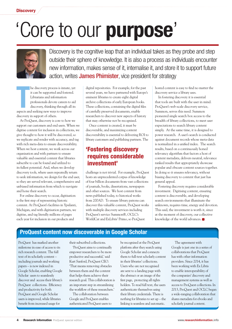**Discovery** 

# 'Core to our purpose'



Discovery is the cognitive leap that an individual takes as they probe and step outside their sphere of knowledge. It is also a process as individuals encounter new information, makes sense of it, internalise it, and store it to support future action, writes **James Phimister**, vice president for strategy

he discovery process is innate, y<br>it can be supported and fostered<br>Librarians and information<br>professionals devote careers to a<br>discovery, thinking through all<br>aspects and seeking new ways to improve he discovery process is innate, yet it can be supported and fostered. Librarians and information professionals devote careers to aid discovery, thinking through all its discovery in support of others.

At ProQuest, discovery is core to how we support our customers and end users. When we digitise content for inclusion in collections, we give thought to how it will be discovered, so we replicate and render with accuracy, and tag with rich meta-data to ensure discoverability. When we host content, we work across our organisation and with partners to ensure valuable and essential content that libraries subscribe to can be found and utilized to its fullest potential. And, when we develop discovery tools, where users repeatedly return to seek information, we design for the end user, so they are served relevant, comprehensive and unbiased information from which to navigate and hone their search.

For online discovery to occur, digitisation is the first step of representing historic content. At ProQuest's facilities in Ypsilanti, Michigan, and with digitisation partners, we digitise, and tag literally millions of pages each year for inclusion in our products and

digital repositories. For example, for the past several years, we have partnered with Europe's eminent libraries to create eight digital archive collections of early European books. These collections, containing the digital files of carefully preserved documents, enable researchers to discover new aspects of history that may otherwise not be recognised.

Once content is created, it must be discoverable, and maximizing content discoverability is essential to delivering ROI to library customers and publishing partners. The

## 'Fostering discovery requires considerable investment'

challenge is not trivial. For example, ProQuest hosts an unprecedented corpus of knowledge of four billion documents from vast collections of journals, books, dissertations, newspapers and other sources. We host content from news published today, to historical works from 200AD. To ensure library patrons can discover this valuable content, ProQuest works with multiple discovery services including ProQuest's service Summon®, OCLC's WorldCat and ExLibris' Primo, so ProQuest

hosted content is easy to find no matter the discovery service a library uses.

In fostering discovery it is essential that tools are built with the user in mind. ProQuest's web-scale discovery service, Summon, serves this need. Summon pioneered single search box access to the breadth of library collections, to meet user expectations to search library content simply. At the same time, it is designed to power research. A user's search is conducted against document records whose meta-data is normalized in a unified index. The search results, based on a continuously honed relevancy algorithm that factors a host of content metadata, delivers neutral, relevance ranked results that appropriately showcase popular and obscure content sources together. In doing so it ensures relevancy, without biasing discovery to content that just has general appeal.

Fostering discovery requires considerable investment. Digitising content, ensuring content is discoverable, and developing search environments that illuminate the unknown, requires time, energy and devotion. This said, the investment is worth it, since at the moment of discovery, our collective knowledge of the world advances.

## ProQuest content now discoverable in Google Scholar

ProQuest has marked another milestone in ease of access to its rich research content. The full text of its scholarly content – including journals and working papers – is now indexed in Google Scholar, enabling Google Scholar users to seamlessly discover and access their library's ProQuest collections. Efficiency and productivity for both ProQuest and Google Scholar users is improved, while libraries benefit from increased usage for

their subscribed collections.

'ProQuest aims to continually empower researchers to be more productive and successful,' said Kurt Sanford, ProQuest CEO. 'That means removing obstacles between them and the content that helps them achieve their research goal. This collaboration is an important step in streamlining the workflow of these researchers.'

The collaboration between Google and ProQuest enables authenticated ProQuest users to be recognised at the ProQuest platform after they search using Google Scholar and connects them to full-text scholarly content in their libraries' collections. Users who are not recognised are sent to a landing page with the abstract or an image of the first page, protecting all rights holders. To read full text, the users authenticate themselves using their library credentials. There is nothing for libraries to set up – the linking is seamless and automatic.

The agreement with Google is just one in a series of collaborations that ProQuest has with other information providers. Since 2014, it has been working with Ex Libris to enable interoperability of the companies' discovery and management systems as well as access to ProQuest collections. In 2013, ProQuest and OCLC began a wide-ranging collaboration that shares metadata for ebooks and scholarly journal content.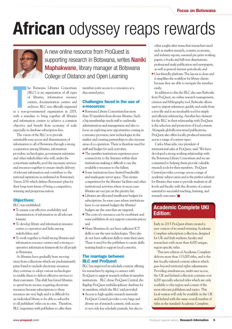# African odyssey reaps rewards



A new online resource from ProQuest is supporting research in Botswana, writes **Naniki Maphakwane, library manager at Botswana** College of Distance and Open Learning

he Botswana Libraries Consortium (BLC) is an organization of all types of libraries, information resource centres, documentation centres and archives. BLC was officially registered as a non-governmental organization in 200 he Botswana Libraries Consortium (BLC) is an organization of all types of libraries, information resource centres, documentation centres and archives. BLC was officially registered with a mandate to bring together all libraries and information centers to achieve a common objective and benefit from economy of scale especially in database subscription fees.

The vision of the BLC is to provide sustainable easy access and dissemination of information to all of Botswana through a strong cooperation among libraries, information providers, technologists, government ministries and other stakeholders who will, under the consortium umbrella, pool the necessary services and resources together to ensure timely delivery of relevant information and contribute to the national aspirations as enshrined in Botswana's Vision 2016 which defines Botswana's plan for their long-term future of being a competitive, winning and prosperous nation.

### Objectives:

BLC was established:

- <sup>l</sup> To ensure cost effective availability and dissemination of information in all relevant formats;
- To develop library and information resource centre co-operation and links among stakeholders; and
- To work together to build strong libraries and information resource centres and a strong cooperative information framework for all people in Botswana.

As libraries have gradually been moving away from collections which are predominantly print-based to include electronic resources, they continue to adopt various technologies to enable them to deliver effective services to their customers. This shift has forced libraries to spend more money acquiring electronic resources because subscriptions to these resources are very high and it is difficult for an individual library to be able to subscribe to all publishers' titles on its own. Therefore, BLC negotiates with publishers to offer their

members joint access to e-resources at a discounted price.

#### Challenges faced in the use of e-resources:

<sup>l</sup> Botswana Library Consortium has more than 50 members from diverse libraries. Such a big membership needs staff to undertake administration and management and also to focus on exploring new opportunities coming in e-resource provision, new technologies in the market and creating partnerships to also increase areas of co-operation. There is therefore need for staff and budget for such activities;

- The member institutions experience poor connectivity to the Internet within their institutions making it difficult to use the available e-resources to the fullest;
- **•** Some institutions have limited bandwidth and inadequate server space. This creates competition for the libraries' facilities and other institutional activities where in most cases libraries are not put on the priority list;
- <sup>l</sup> Libraries are allocated insufficient budgets for subscriptions. In some cases where institutions have to cut annual budgets the libraries' budgets are the ones that are targeted;
- <sup>l</sup> The costs of e-resources can be exorbitant and some publishers do not support consortia prices; and
- $\bullet$  Many librarians do not have sufficient ICT skills to use the new technologies. They also do not have sufficient skills to train their users. There is need for the publishers to create skillstraining funds to support local consortia.

#### The marriage between BLC and ProQuest

BLC has improved its scholarly content offering for researchers by signing a contract with ProQuest to support research within its member institutions. BLC chose ProQuest Central, the flagship ProQuest multidisciplinary database for its members, which the BLC said provided:

• Access to high-quality research materials: ProQuest Central provides a very large and diverse set of research content, with access to not only key scholarly journals, but also to other sought-after items that researchers need such as market research, country, economic, and industry reports, essential pre-print working papers, e-books and full-text dissertations, professional trade publication and newspapers, as well as general interest periodicals; and

<sup>l</sup> User-friendly platform: The layout is clean and it simplifies the workflow for library clients because they are able to navigate the interface easily.

In addition to this the BLC also uses Refworks from ProQuest, an online research management, citation and bibliography tool. Refworks allows users to import references quickly and easily from a text file and is an invaluable tool for simple and efficient referencing. Another key element for the BLC in their relationship with ProQuest is the selection and promotion of local content. Alongside globally-renowned publications, ProQuest also offers locally-produced materials across a range of content types.

Carlos Mascorda, vice president of international sales at ProQuest, said: 'We have developed a strong working relationship with the Botswana Library Consortium and we are committed to helping them provide valuable research tools for their members. ProQuest Central provides coverage across a range of academic subject areas and is the perfect solution for libraries that want to provide students at all levels and faculty with the diversity of content essential to successful teaching, learning, and research outcomes.'

## Academic Complete UKI Edition:

Early in 2015 ProQuest ebrary created a new version of its award-winning Academic Complete subscription collection, designed for UK and Irish students, faculty and researchers with more than 4,000 unique, region-specific titles.

This new edition of Academic Complete delivers more than 115,000 titles, and is the first locally-tailored content edition which goes beyond territorial rights adjustments. Providing simultaneous, multi-user access, the UK and Ireland collection contains over 4,000 specially selected titles which are only available to this region and consist of the most relevant publishers and topics. This local version will only be available in the UK and Ireland with the same overall number of titles as the standard Academic Complete.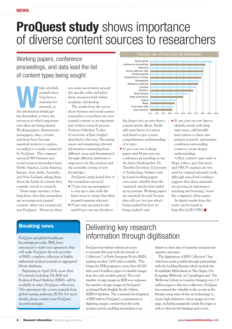#### **NEWS**

# **ProQuest study** shows importance of diverse content sources to researchers

# Working papers, conference proceedings, and data lead the list of content types being sought

hile scholarly<br>
journals have<br>
long been a<br>
mainstay for<br>
research, as<br>
the information landscape journals have long been a mainstay for research, as has diversified, so have the resources in which important new ideas are being shared. Working papers, dissertations, newspapers, data, e-books, and more have become essential territory to explore, according to a study conducted by ProQuest. The company surveyed 969 business and social sciences researchers from North America, Latin America, Europe, Asia, India, Australia, and New Zealand, asking them about the kinds of content they consider crucial to research.

'From usage statistics, it has long been clear that researchers are accessing non-journal content, often very extensively,' says ProQuest. 'However, there

was some uncertainty around the specific value and place these resources held within academic scholarship.'

The results from the survey show business and social science researchers everywhere use nonjournal content as an important part of their research process. Professor Nikolaos Tzokas (University of East Anglia) described it this way: 'Becoming aware and integrating relevant information emanating from different areas and disseminated through different platforms is imperative for the creation and the scientific testing of new knowledge.'

ProQuest's study found that of the researchers surveyed:

- 75 per cent use newspapers to stay up to date with the latest news to ensure that their research remains relevant;
- 95 per cent use print books and 69 per cent use ebooks to



dig deeper into an area than a journal article allows. Books add extra layers of context and detail to give a more comprehensive understanding of a topic;

- 81 per cent use working papers and 84 per cent use conference proceedings to see the latest thinking first. Dr. Timothy Devinney (University of Technology, Sydney) said he found working papers even more valuable than the 'sanitised' articles that ended up in journals. Working papers are essential, he said, because they tell you 'not just what's being studied but how it's being studied'; and
- 81 per cent use raw data to identify trends with deep time series, add breadth and context to their own primary research, and analyse conditions surrounding events to create deeper understanding.

'Other content types such as blogs, videos, grey literature, and SWOT analyses are less used for original scholarly work, although anecdotal evidence suggests that these materials are growing in importance teaching and learning,' notes the company's white paper.

In-depth results from the study can be found at http://bit.ly/1FvUFIG

### Breaking news

ProQuest and global healthcare knowledge provider, BMJ, have announced a multi-year agreement that will make ProQuest the sole provider of BMJ's complete collection of highly influential medical journals in aggregated library databases.

Beginning in April 2016, more than 65 journals including *The BMJ and Evidenced Based Medicine* (EBM), will be available in select ProQuest collections. This agreement also covers journals from global nursing authority, RCNi. For more details, please contact your ProQuest account manager.

# Delivering key research information through digitisation

ProQuest has further enhanced access to research this year with the launch of Collection 7 of Early European Books (EEB), making another 7,450 titles available. This brings the EEB program to more than 40,000 titles and 14 million pages of valuable images from the early modern period. The total number of page images in EEB now surpasses the number of page images in ProQuest's acclaimed Early English Books Online, (EEBO) database. The continual development of EEB reflects ProQuest's commitment to digitising unique content from the early modern period, enabling researchers to go

deeper in their area of expertise and generate superior outcomes.

The digitisation of EEB Collection 7 has only been made possible through partnerships with the holding libraries which include the Koninklijke Bibliotheek in The Hague, Det Kongelige Bibliotek, in Copenhagen and The Wellcome Library in London, bringing over 1.9 million pages to this new collection. ProQuest has scanned the valuable works on site at the libraries using state-of-the-art technology to create high-definition colour images of every page, including marginalia inside the pages as well as often-lavish bindings and covers.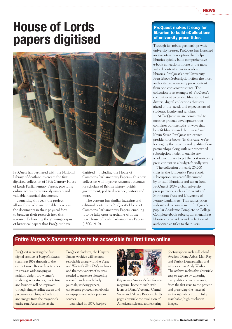### **NEWS**

# House of Lords papers digitised



ProQuest has partnered with the National Library of Scotland to create the first digitised collection of 19th Century House of Lords Parliamentary Papers, providing online access to previously unseen and valuable historical documents.

Launching this year, the project allows those who are not able to access the documents in their physical form to broaden their research into this resource. Enhancing the growing corpus of historical papers that ProQuest have

digitised – including the House of Commons Parliamentary Papers – this new collection will improve research outcomes for scholars of British history, British government, political science, history and more.

The content has similar indexing and editorial controls to ProQuest's House of Commons Parliamentary Papers, enabling it to be fully cross-searchable with the new House of Lords Parliamentary Papers (1800-1910).

### ProQuest makes it easy for libraries to build eCollections of university press titles

Through its robust partnerships with university presses, ProQuest has launched an inventive new option that helps libraries quickly build comprehensive e-book collections in one of the most valued content areas in academic libraries. ProQuest's new University Press Ebook Subscription offers the most authoritative university press content from one convenient source. The collection is an example of ProQuest's commitment to enable libraries to build diverse, digital collections that stay ahead of the needs and expectations of students, faculty and scholars.

'At ProQuest we are committed to creative product development that combines our strengths in ways that benefit libraries and their users,' said Kevin Sayar, ProQuest senior vice president for books. 'In this case, we're leveraging the breadth and quality of our partnerships along with our renowned subscription model to enable any academic library to get the best university press content in a budget-friendly way.'

The collection of nearly 25,000 titles in the University Press ebook subscription was carefully curated by on-staff librarians and taken from ProQuest's 200+ global university press partners, such as University of Minnesota Press and University of Pennsylvania Press. This subscription is designed to complement ProQuest's popular Academic Complete or College Complete ebook subscriptions, enabling libraries to provide a wide selection of authoritative titles to their users.

## Entire *Harper's Bazaar* archive to be accessible for first time online

ProQuest is creating the first digital archive of *Harper's Bazaar*, spanning 1867 through to the current issue. Research outcomes in areas as wide-ranging as fashion, design, art, women's studies, gender studies, marketing and business will be improved through simple online access and precision searching of both text and images from the magazine's entire run. Accessible on the

ProQuest platform, the Harper's Bazaar Archive will be crosssearchable along with the *Vogue* and *Women's Wear Daily* archives and the rich variety of sources needed to generate pioneering research, such as scholarly journals, working papers, conference proceedings, ebooks, newspapers and other primary sources.

Launched in 1867, *Harper's* 



*Bazaar* was America's first fashion magazine, home to such style icons as Diana Vreeland, Carmel Snow and Alexey Brodovitch. Its pages chronicle the evolution of American style and art, featuring

photographers such as Richard Avedon, Diane Arbus, Man Ray and Patrick Demarchelier, and artists such as Andy Warhol. The archive makes this chronicle easy to explore by capturing every edition cover-to-cover, from the first issue to the present, and preserving the material in its original context in fully searchable, high-resolution images.